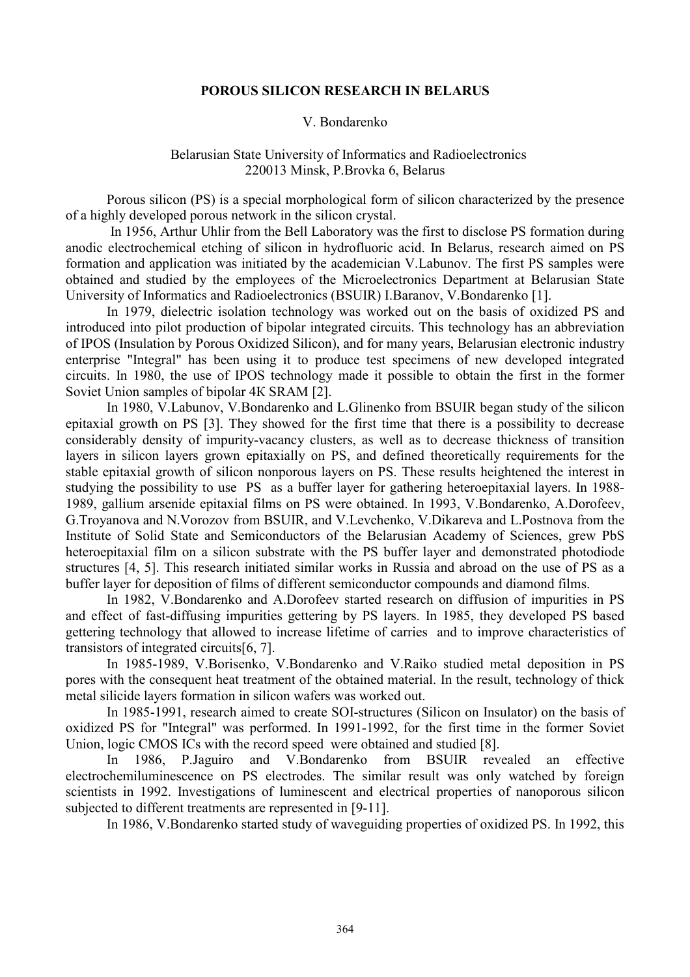## **POROUS SILICON RESEARCH IN BELARUS**

## V. Bondarenko

## Belarusian State University of Informatics and Radioelectronics 220013 Minsk, P.Brovka 6, Belarus

Porous silicon (PS) is a special morphological form of silicon characterized by the presence of a highly developed porous network in the silicon crystal.

In 1956, Arthur Uhlir from the Bell Laboratory was the first to disclose PS formation during anodic electrochemical etching of silicon in hydrofluoric acid. In Belarus, research aimed on PS formation and application was initiated by the academician V.Labunov. The first PS samples were obtained and studied by the employees of the Microelectronics Department at Belarusian State University of Informatics and Radioelectronics (BSUIR) I.Baranov, V.Bondarenko [1].

In 1979, dielectric isolation technology was worked out on the basis of oxidized PS and introduced into pilot production of bipolar integrated circuits. This technology has an abbreviation of IPOS (Insulation by Porous Oxidized Silicon), and for many years, Belarusian electronic industry enterprise "Integral" has been using it to produce test specimens of new developed integrated circuits. In 1980, the use of IPOS technology made it possible to obtain the first in the former Soviet Union samples of bipolar 4К SRAM [2].

In 1980, V.Labunov, V.Bondarenko and L.Glinenko from BSUIR began study of the silicon epitaxial growth on PS [3]. They showed for the first time that there is a possibility to decrease considerably density of impurity-vacancy clusters, as well as to decrease thickness of transition layers in silicon layers grown epitaxially on PS, and defined theoretically requirements for the stable epitaxial growth of silicon nonporous layers on PS. These results heightened the interest in studying the possibility to use PS as a buffer layer for gathering heteroepitaxial layers. In 1988- 1989, gallium arsenide epitaxial films on PS were obtained. In 1993, V.Bondarenko, A.Dorofeev, G.Troyanova and N.Vorozov from BSUIR, and V.Levchenko, V.Dikareva and L.Postnova from the Institute of Solid State and Semiconductors of the Belarusian Academy of Sciences, grew PbS heteroepitaxial film on a silicon substrate with the PS buffer layer and demonstrated photodiode structures [4, 5]. This research initiated similar works in Russia and abroad on the use of PS as a buffer layer for deposition of films of different semiconductor compounds and diamond films.

In 1982, V.Bondarenko and A.Dorofeev started research on diffusion of impurities in PS and effect of fast-diffusing impurities gettering by PS layers. In 1985, they developed PS based gettering technology that allowed to increase lifetime of carries and to improve characteristics of transistors of integrated circuits[6, 7].

In 1985-1989, V.Borisenko, V.Bondarenko and V.Raiko studied metal deposition in PS pores with the consequent heat treatment of the obtained material. In the result, technology of thick metal silicide layers formation in silicon wafers was worked out.

In 1985-1991, research aimed to create SOI-structures (Silicon on Insulator) on the basis of oxidized PS for "Integral" was performed. In 1991-1992, for the first time in the former Soviet Union, logic CMOS ICs with the record speed were obtained and studied [8].

In 1986, P.Jaguiro and V.Bondarenko from BSUIR revealed an effective electrochemiluminescence on PS electrodes. The similar result was only watched by foreign scientists in 1992. Investigations of luminescent and electrical properties of nanoporous silicon subjected to different treatments are represented in [9-11].

In 1986, V.Bondarenko started study of waveguiding properties of oxidized PS. In 1992, this